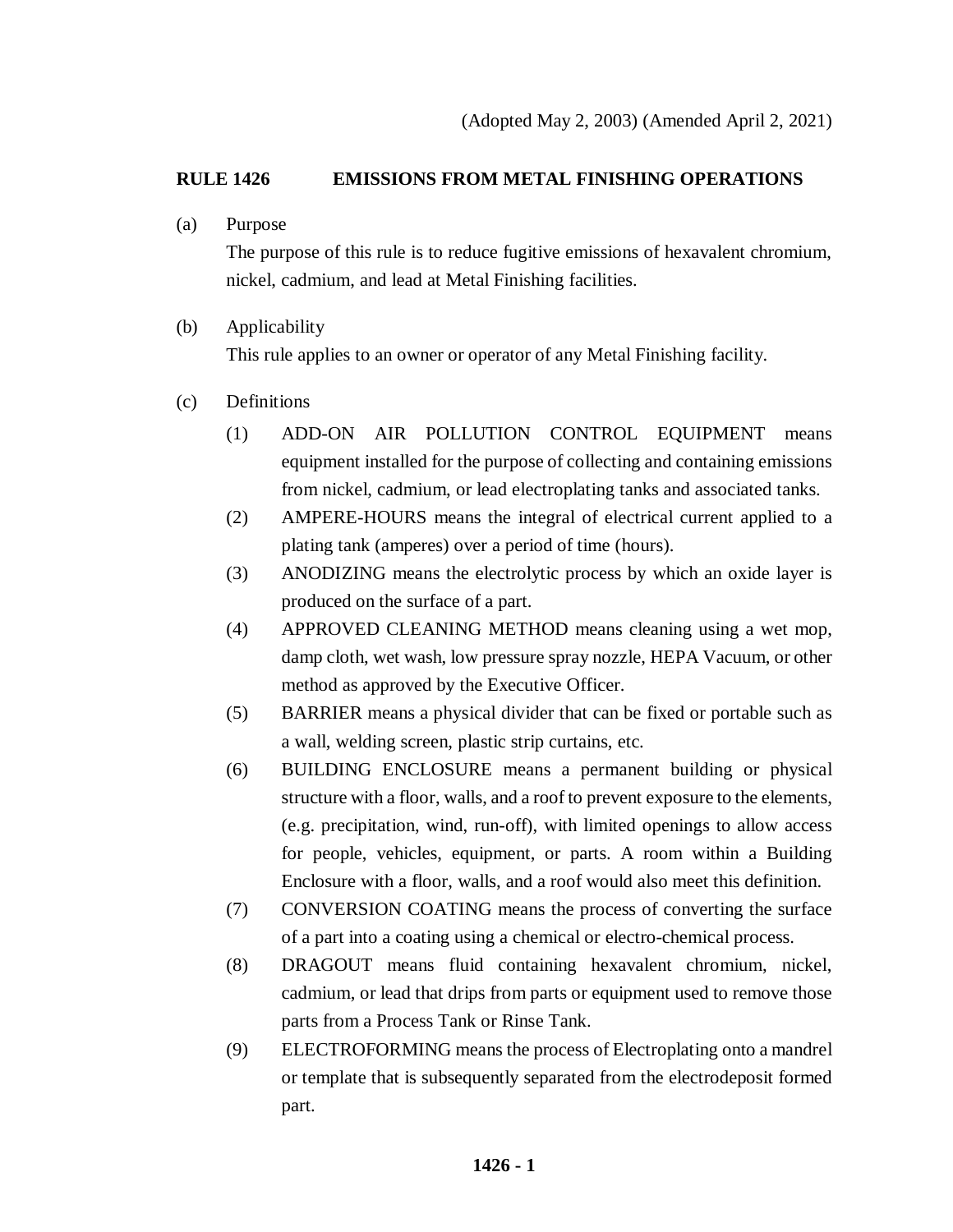## **RULE 1426 EMISSIONS FROM METAL FINISHING OPERATIONS**

(a) Purpose

The purpose of this rule is to reduce fugitive emissions of hexavalent chromium, nickel, cadmium, and lead at Metal Finishing facilities.

- (b) Applicability This rule applies to an owner or operator of any Metal Finishing facility.
- (c) Definitions
	- (1) ADD-ON AIR POLLUTION CONTROL EQUIPMENT means equipment installed for the purpose of collecting and containing emissions from nickel, cadmium, or lead electroplating tanks and associated tanks.
	- (2) AMPERE-HOURS means the integral of electrical current applied to a plating tank (amperes) over a period of time (hours).
	- (3) ANODIZING means the electrolytic process by which an oxide layer is produced on the surface of a part.
	- (4) APPROVED CLEANING METHOD means cleaning using a wet mop, damp cloth, wet wash, low pressure spray nozzle, HEPA Vacuum, or other method as approved by the Executive Officer.
	- (5) BARRIER means a physical divider that can be fixed or portable such as a wall, welding screen, plastic strip curtains, etc.
	- (6) BUILDING ENCLOSURE means a permanent building or physical structure with a floor, walls, and a roof to prevent exposure to the elements, (e.g. precipitation, wind, run-off), with limited openings to allow access for people, vehicles, equipment, or parts. A room within a Building Enclosure with a floor, walls, and a roof would also meet this definition.
	- (7) CONVERSION COATING means the process of converting the surface of a part into a coating using a chemical or electro-chemical process.
	- (8) DRAGOUT means fluid containing hexavalent chromium, nickel, cadmium, or lead that drips from parts or equipment used to remove those parts from a Process Tank or Rinse Tank.
	- (9) ELECTROFORMING means the process of Electroplating onto a mandrel or template that is subsequently separated from the electrodeposit formed part.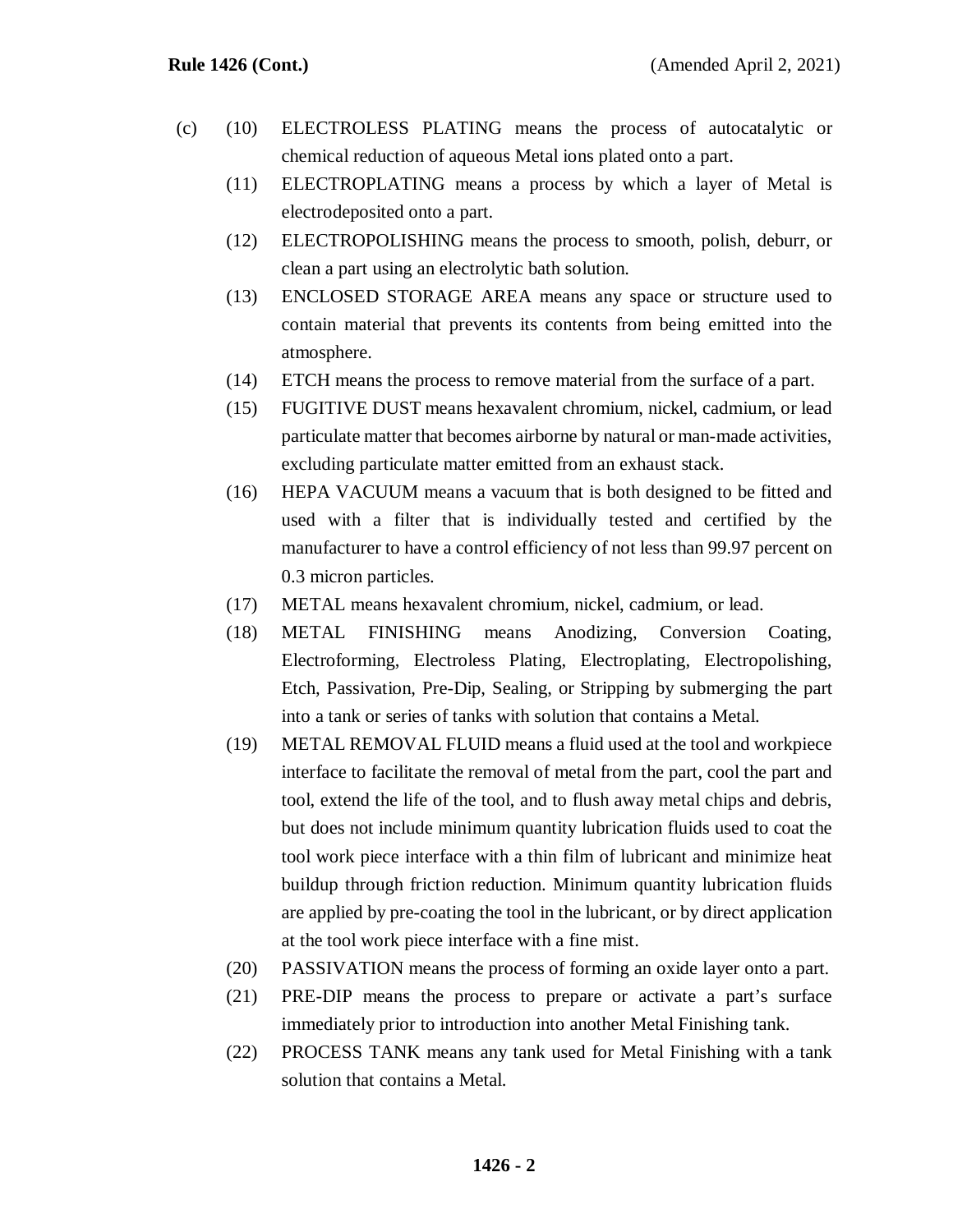- (c) (10) ELECTROLESS PLATING means the process of autocatalytic or chemical reduction of aqueous Metal ions plated onto a part.
	- (11) ELECTROPLATING means a process by which a layer of Metal is electrodeposited onto a part.
	- (12) ELECTROPOLISHING means the process to smooth, polish, deburr, or clean a part using an electrolytic bath solution.
	- (13) ENCLOSED STORAGE AREA means any space or structure used to contain material that prevents its contents from being emitted into the atmosphere.
	- (14) ETCH means the process to remove material from the surface of a part.
	- (15) FUGITIVE DUST means hexavalent chromium, nickel, cadmium, or lead particulate matter that becomes airborne by natural or man-made activities, excluding particulate matter emitted from an exhaust stack.
	- (16) HEPA VACUUM means a vacuum that is both designed to be fitted and used with a filter that is individually tested and certified by the manufacturer to have a control efficiency of not less than 99.97 percent on 0.3 micron particles.
	- (17) METAL means hexavalent chromium, nickel, cadmium, or lead.
	- (18) METAL FINISHING means Anodizing, Conversion Coating, Electroforming, Electroless Plating, Electroplating, Electropolishing, Etch, Passivation, Pre-Dip, Sealing, or Stripping by submerging the part into a tank or series of tanks with solution that contains a Metal.
	- (19) METAL REMOVAL FLUID means a fluid used at the tool and workpiece interface to facilitate the removal of metal from the part, cool the part and tool, extend the life of the tool, and to flush away metal chips and debris, but does not include minimum quantity lubrication fluids used to coat the tool work piece interface with a thin film of lubricant and minimize heat buildup through friction reduction. Minimum quantity lubrication fluids are applied by pre-coating the tool in the lubricant, or by direct application at the tool work piece interface with a fine mist.
	- (20) PASSIVATION means the process of forming an oxide layer onto a part.
	- (21) PRE-DIP means the process to prepare or activate a part's surface immediately prior to introduction into another Metal Finishing tank.
	- (22) PROCESS TANK means any tank used for Metal Finishing with a tank solution that contains a Metal.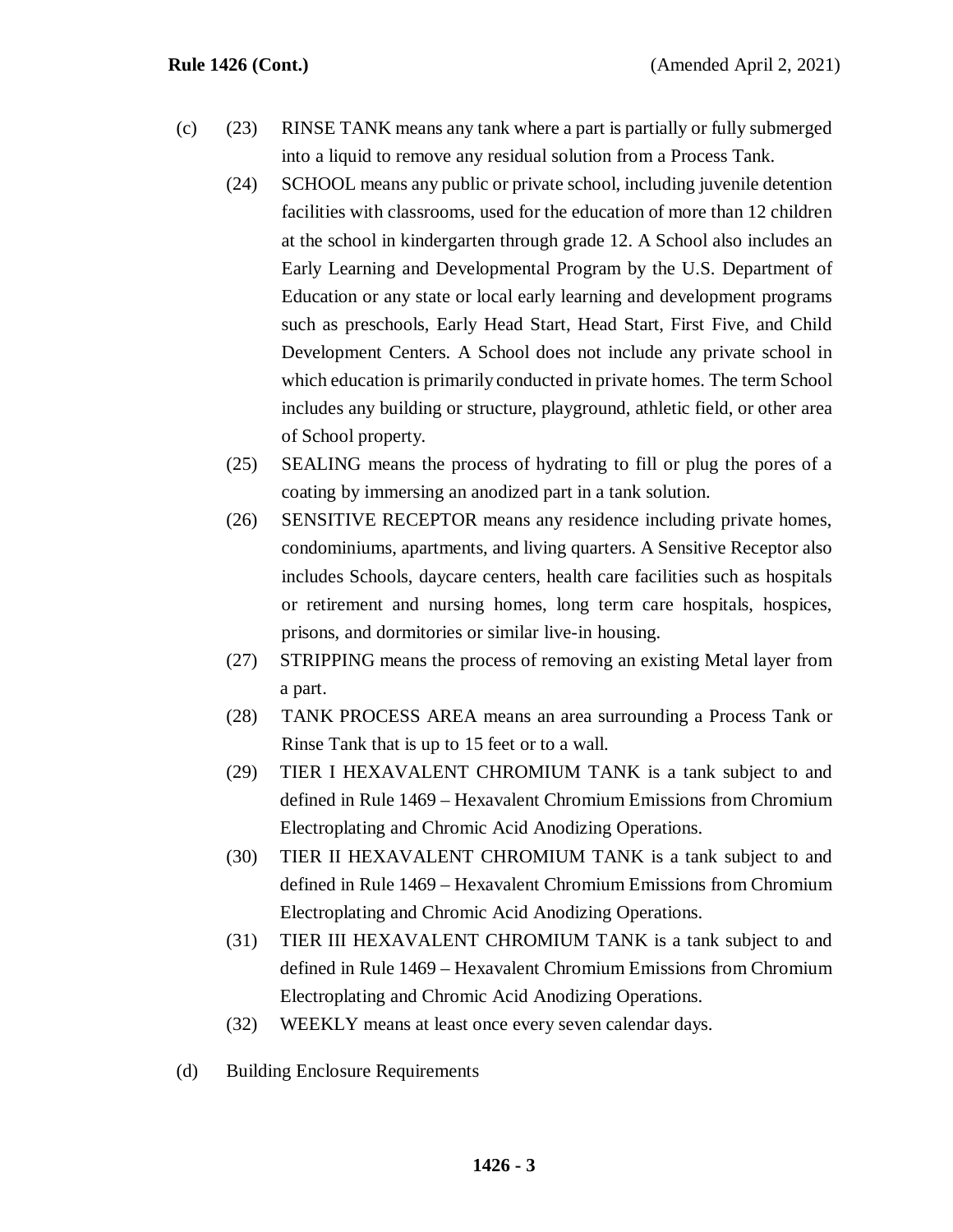- (c) (23) RINSE TANK means any tank where a part is partially or fully submerged into a liquid to remove any residual solution from a Process Tank.
	- (24) SCHOOL means any public or private school, including juvenile detention facilities with classrooms, used for the education of more than 12 children at the school in kindergarten through grade 12. A School also includes an Early Learning and Developmental Program by the U.S. Department of Education or any state or local early learning and development programs such as preschools, Early Head Start, Head Start, First Five, and Child Development Centers. A School does not include any private school in which education is primarily conducted in private homes. The term School includes any building or structure, playground, athletic field, or other area of School property.
	- (25) SEALING means the process of hydrating to fill or plug the pores of a coating by immersing an anodized part in a tank solution.
	- (26) SENSITIVE RECEPTOR means any residence including private homes, condominiums, apartments, and living quarters. A Sensitive Receptor also includes Schools, daycare centers, health care facilities such as hospitals or retirement and nursing homes, long term care hospitals, hospices, prisons, and dormitories or similar live-in housing.
	- (27) STRIPPING means the process of removing an existing Metal layer from a part.
	- (28) TANK PROCESS AREA means an area surrounding a Process Tank or Rinse Tank that is up to 15 feet or to a wall.
	- (29) TIER I HEXAVALENT CHROMIUM TANK is a tank subject to and defined in Rule 1469 – Hexavalent Chromium Emissions from Chromium Electroplating and Chromic Acid Anodizing Operations.
	- (30) TIER II HEXAVALENT CHROMIUM TANK is a tank subject to and defined in Rule 1469 – Hexavalent Chromium Emissions from Chromium Electroplating and Chromic Acid Anodizing Operations.
	- (31) TIER III HEXAVALENT CHROMIUM TANK is a tank subject to and defined in Rule 1469 – Hexavalent Chromium Emissions from Chromium Electroplating and Chromic Acid Anodizing Operations.
	- (32) WEEKLY means at least once every seven calendar days.
- (d) Building Enclosure Requirements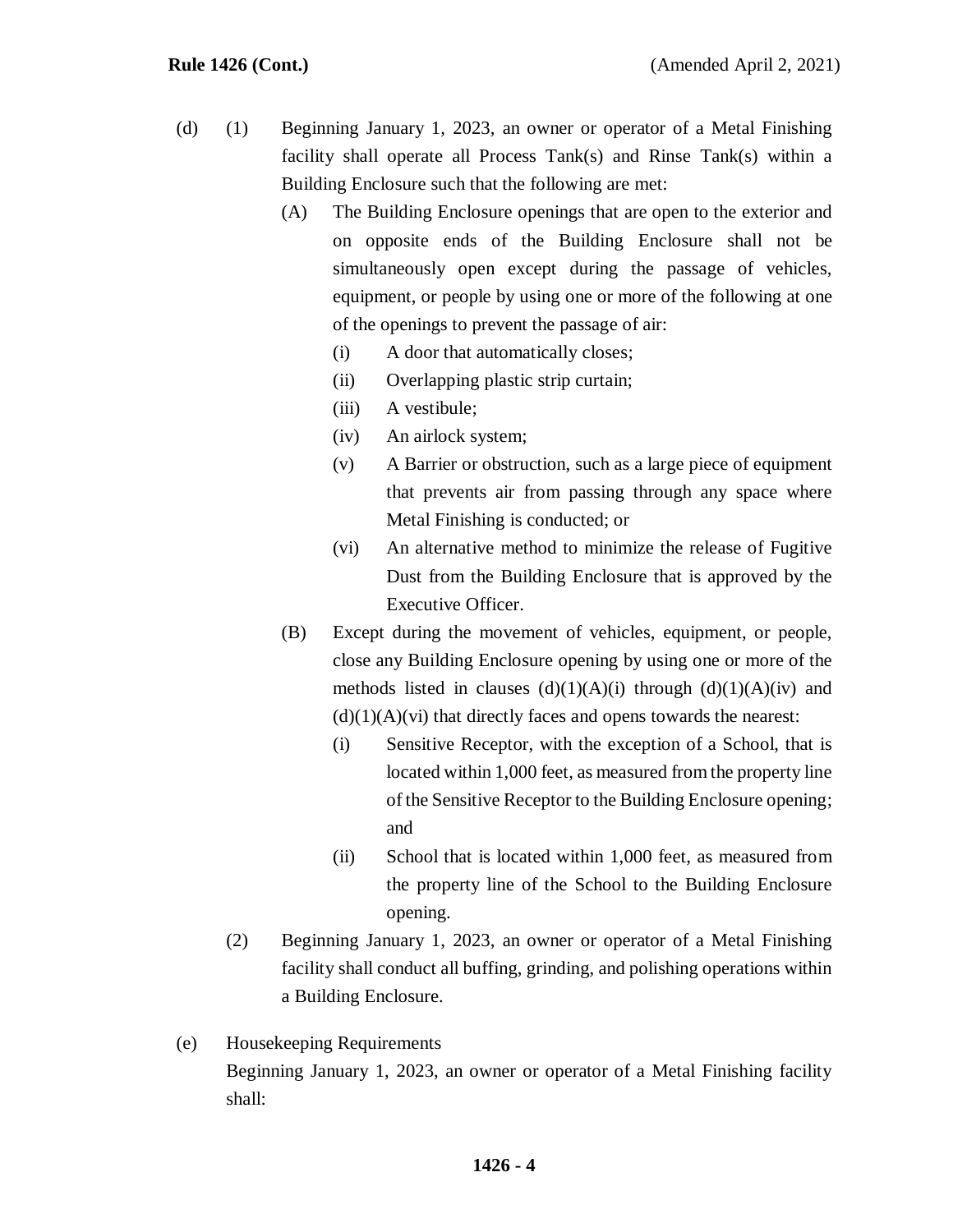- (d) (1) Beginning January 1, 2023, an owner or operator of a Metal Finishing facility shall operate all Process Tank(s) and Rinse Tank(s) within a Building Enclosure such that the following are met:
	- (A) The Building Enclosure openings that are open to the exterior and on opposite ends of the Building Enclosure shall not be simultaneously open except during the passage of vehicles, equipment, or people by using one or more of the following at one of the openings to prevent the passage of air:
		- (i) A door that automatically closes;
		- (ii) Overlapping plastic strip curtain;
		- (iii) A vestibule;
		- (iv) An airlock system;
		- (v) A Barrier or obstruction, such as a large piece of equipment that prevents air from passing through any space where Metal Finishing is conducted; or
		- (vi) An alternative method to minimize the release of Fugitive Dust from the Building Enclosure that is approved by the Executive Officer.
	- (B) Except during the movement of vehicles, equipment, or people, close any Building Enclosure opening by using one or more of the methods listed in clauses  $(d)(1)(A)(i)$  through  $(d)(1)(A)(iv)$  and  $(d)(1)(A)(vi)$  that directly faces and opens towards the nearest:
		- (i) Sensitive Receptor, with the exception of a School, that is located within 1,000 feet, as measured from the property line of the Sensitive Receptor to the Building Enclosure opening; and
		- (ii) School that is located within 1,000 feet, as measured from the property line of the School to the Building Enclosure opening.
	- (2) Beginning January 1, 2023, an owner or operator of a Metal Finishing facility shall conduct all buffing, grinding, and polishing operations within a Building Enclosure.
- (e) Housekeeping Requirements Beginning January 1, 2023, an owner or operator of a Metal Finishing facility shall: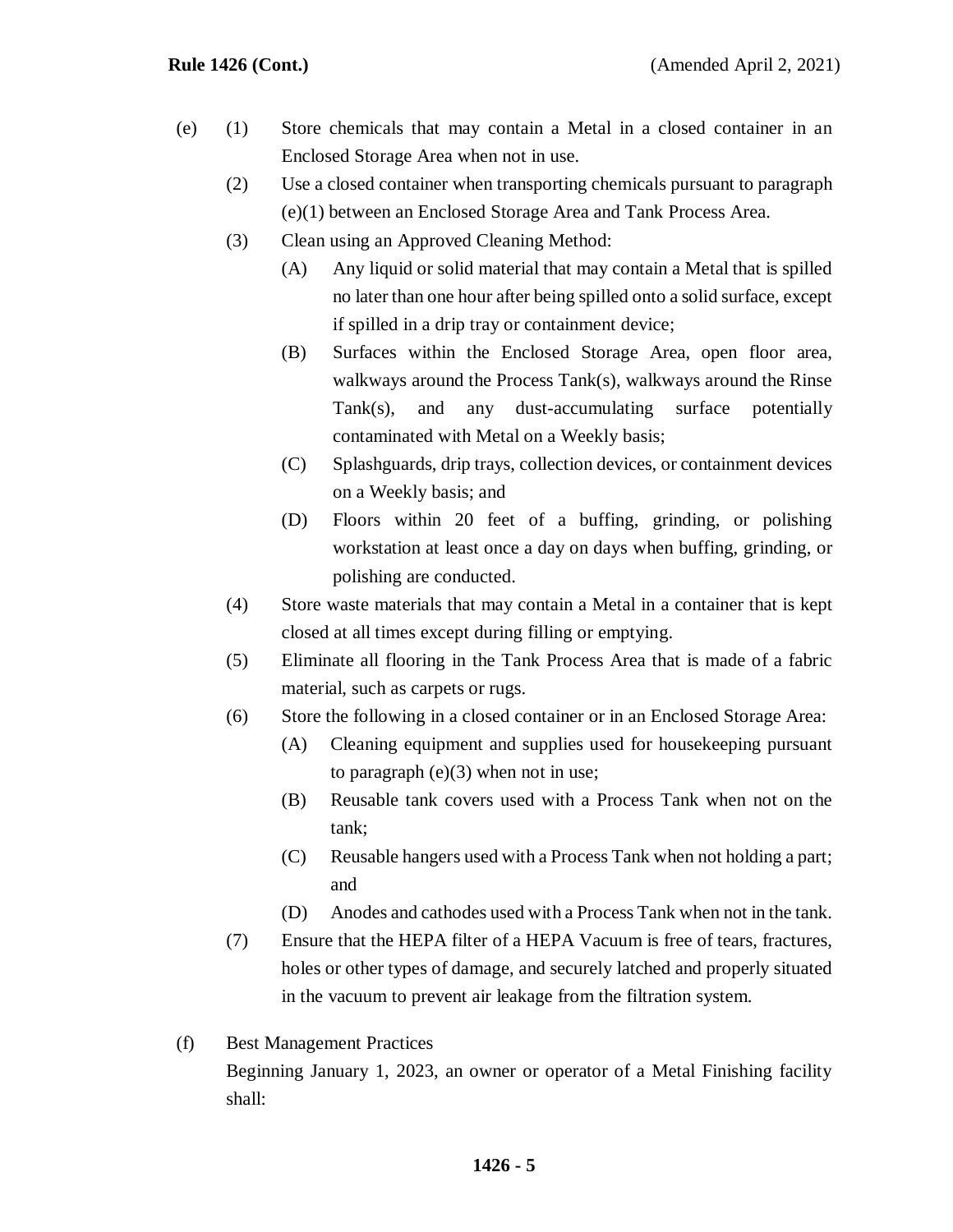- (e) (1) Store chemicals that may contain a Metal in a closed container in an Enclosed Storage Area when not in use.
	- (2) Use a closed container when transporting chemicals pursuant to paragraph (e)(1) between an Enclosed Storage Area and Tank Process Area.
	- (3) Clean using an Approved Cleaning Method:
		- (A) Any liquid or solid material that may contain a Metal that is spilled no later than one hour after being spilled onto a solid surface, except if spilled in a drip tray or containment device;
		- (B) Surfaces within the Enclosed Storage Area, open floor area, walkways around the Process Tank(s), walkways around the Rinse Tank(s), and any dust-accumulating surface potentially contaminated with Metal on a Weekly basis;
		- (C) Splashguards, drip trays, collection devices, or containment devices on a Weekly basis; and
		- (D) Floors within 20 feet of a buffing, grinding, or polishing workstation at least once a day on days when buffing, grinding, or polishing are conducted.
	- (4) Store waste materials that may contain a Metal in a container that is kept closed at all times except during filling or emptying.
	- (5) Eliminate all flooring in the Tank Process Area that is made of a fabric material, such as carpets or rugs.
	- (6) Store the following in a closed container or in an Enclosed Storage Area:
		- (A) Cleaning equipment and supplies used for housekeeping pursuant to paragraph  $(e)(3)$  when not in use;
		- (B) Reusable tank covers used with a Process Tank when not on the tank;
		- (C) Reusable hangers used with a Process Tank when not holding a part; and
		- (D) Anodes and cathodes used with a Process Tank when not in the tank.
	- (7) Ensure that the HEPA filter of a HEPA Vacuum is free of tears, fractures, holes or other types of damage, and securely latched and properly situated in the vacuum to prevent air leakage from the filtration system.
- (f) Best Management Practices Beginning January 1, 2023, an owner or operator of a Metal Finishing facility shall: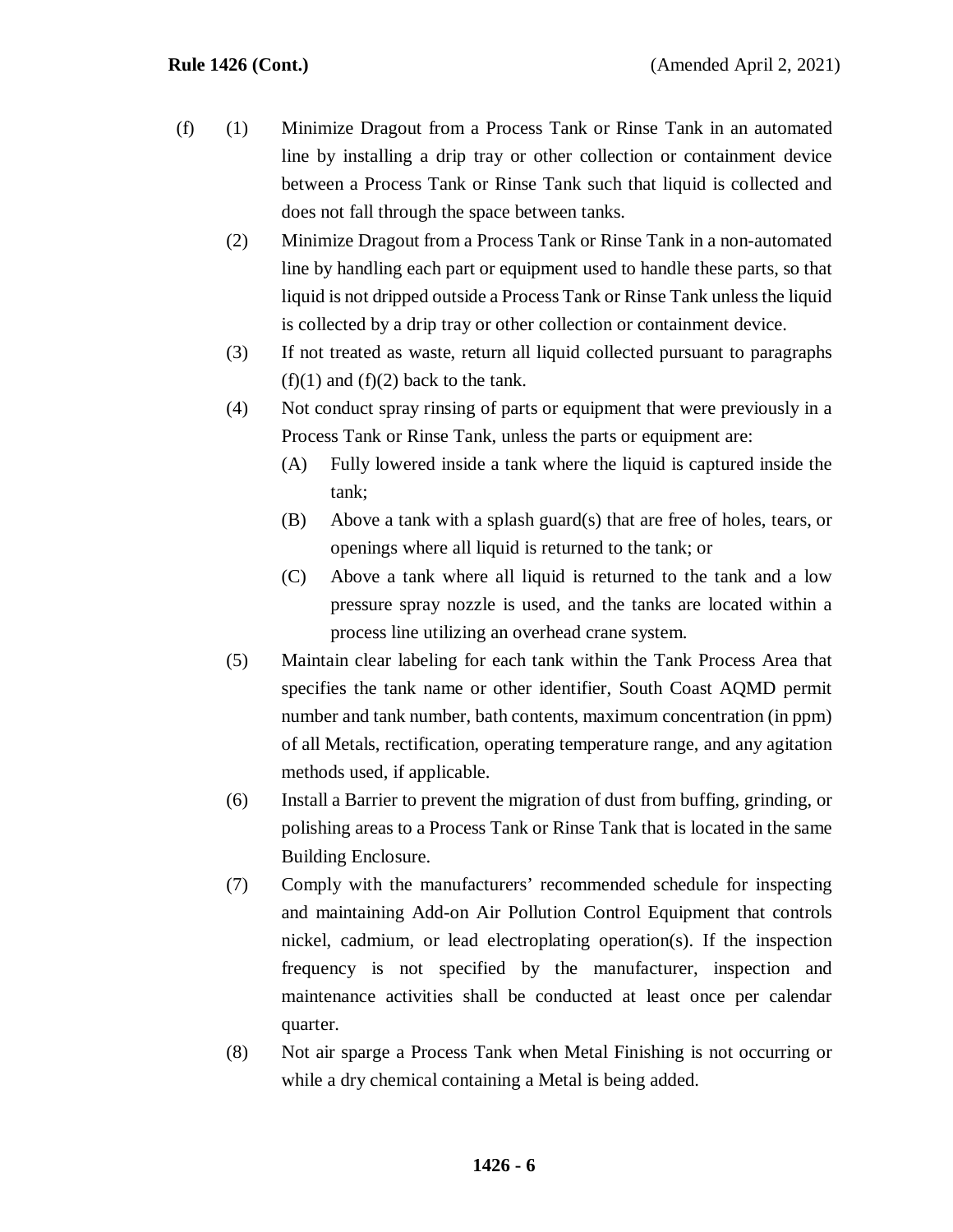- (f) (1) Minimize Dragout from a Process Tank or Rinse Tank in an automated line by installing a drip tray or other collection or containment device between a Process Tank or Rinse Tank such that liquid is collected and does not fall through the space between tanks.
	- (2) Minimize Dragout from a Process Tank or Rinse Tank in a non-automated line by handling each part or equipment used to handle these parts, so that liquid is not dripped outside a Process Tank or Rinse Tank unless the liquid is collected by a drip tray or other collection or containment device.
	- (3) If not treated as waste, return all liquid collected pursuant to paragraphs  $(f)(1)$  and  $(f)(2)$  back to the tank.
	- (4) Not conduct spray rinsing of parts or equipment that were previously in a Process Tank or Rinse Tank, unless the parts or equipment are:
		- (A) Fully lowered inside a tank where the liquid is captured inside the tank;
		- (B) Above a tank with a splash guard(s) that are free of holes, tears, or openings where all liquid is returned to the tank; or
		- (C) Above a tank where all liquid is returned to the tank and a low pressure spray nozzle is used, and the tanks are located within a process line utilizing an overhead crane system.
	- (5) Maintain clear labeling for each tank within the Tank Process Area that specifies the tank name or other identifier, South Coast AQMD permit number and tank number, bath contents, maximum concentration (in ppm) of all Metals, rectification, operating temperature range, and any agitation methods used, if applicable.
	- (6) Install a Barrier to prevent the migration of dust from buffing, grinding, or polishing areas to a Process Tank or Rinse Tank that is located in the same Building Enclosure.
	- (7) Comply with the manufacturers' recommended schedule for inspecting and maintaining Add-on Air Pollution Control Equipment that controls nickel, cadmium, or lead electroplating operation(s). If the inspection frequency is not specified by the manufacturer, inspection and maintenance activities shall be conducted at least once per calendar quarter.
	- (8) Not air sparge a Process Tank when Metal Finishing is not occurring or while a dry chemical containing a Metal is being added.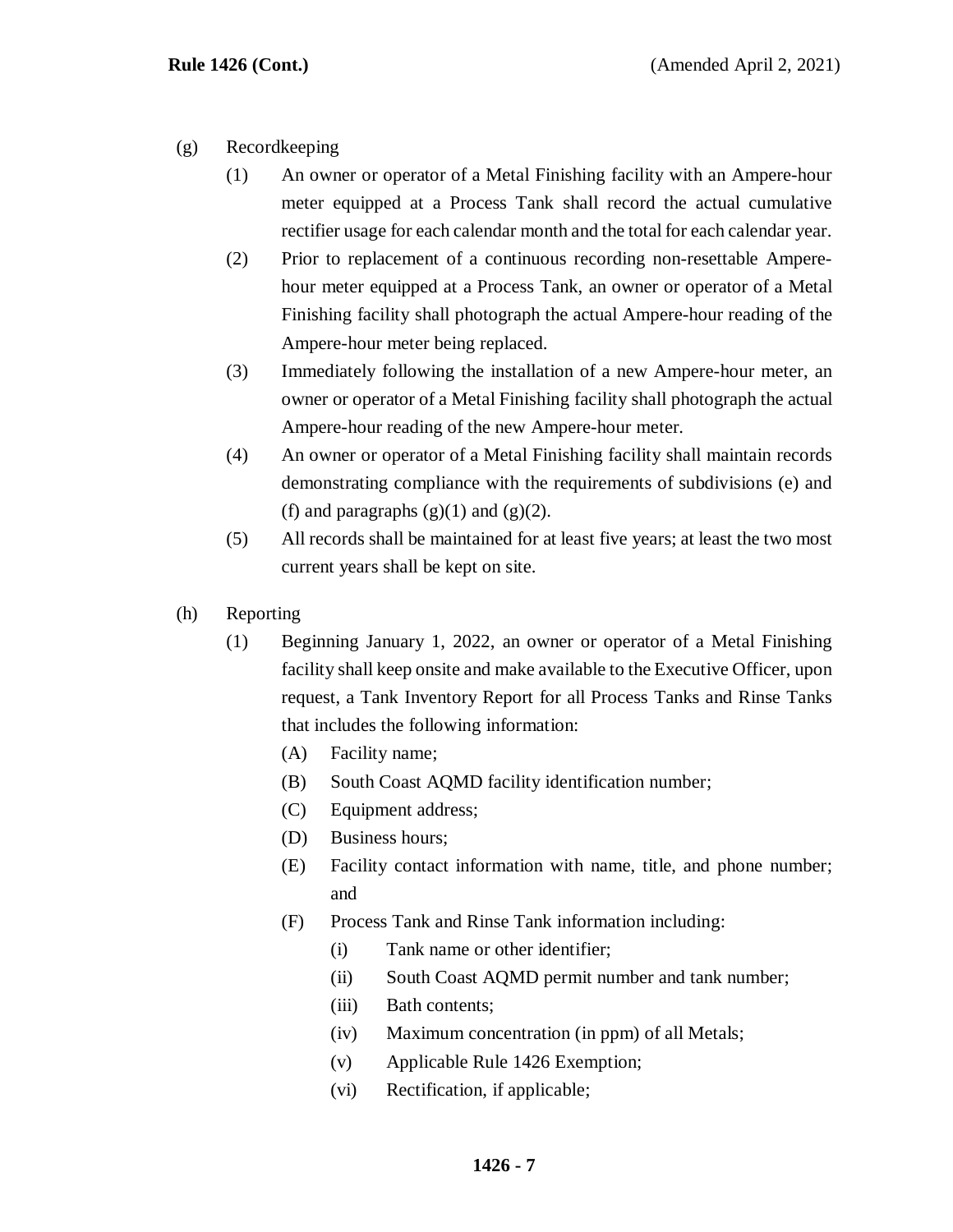- (g) Recordkeeping
	- (1) An owner or operator of a Metal Finishing facility with an Ampere-hour meter equipped at a Process Tank shall record the actual cumulative rectifier usage for each calendar month and the total for each calendar year.
	- (2) Prior to replacement of a continuous recording non-resettable Amperehour meter equipped at a Process Tank, an owner or operator of a Metal Finishing facility shall photograph the actual Ampere-hour reading of the Ampere-hour meter being replaced.
	- (3) Immediately following the installation of a new Ampere-hour meter, an owner or operator of a Metal Finishing facility shall photograph the actual Ampere-hour reading of the new Ampere-hour meter.
	- (4) An owner or operator of a Metal Finishing facility shall maintain records demonstrating compliance with the requirements of subdivisions (e) and (f) and paragraphs  $(g)(1)$  and  $(g)(2)$ .
	- (5) All records shall be maintained for at least five years; at least the two most current years shall be kept on site.
- (h) Reporting
	- (1) Beginning January 1, 2022, an owner or operator of a Metal Finishing facility shall keep onsite and make available to the Executive Officer, upon request, a Tank Inventory Report for all Process Tanks and Rinse Tanks that includes the following information:
		- (A) Facility name;
		- (B) South Coast AQMD facility identification number;
		- (C) Equipment address;
		- (D) Business hours;
		- (E) Facility contact information with name, title, and phone number; and
		- (F) Process Tank and Rinse Tank information including:
			- (i) Tank name or other identifier;
			- (ii) South Coast AQMD permit number and tank number;
			- (iii) Bath contents;
			- (iv) Maximum concentration (in ppm) of all Metals;
			- (v) Applicable Rule 1426 Exemption;
			- (vi) Rectification, if applicable;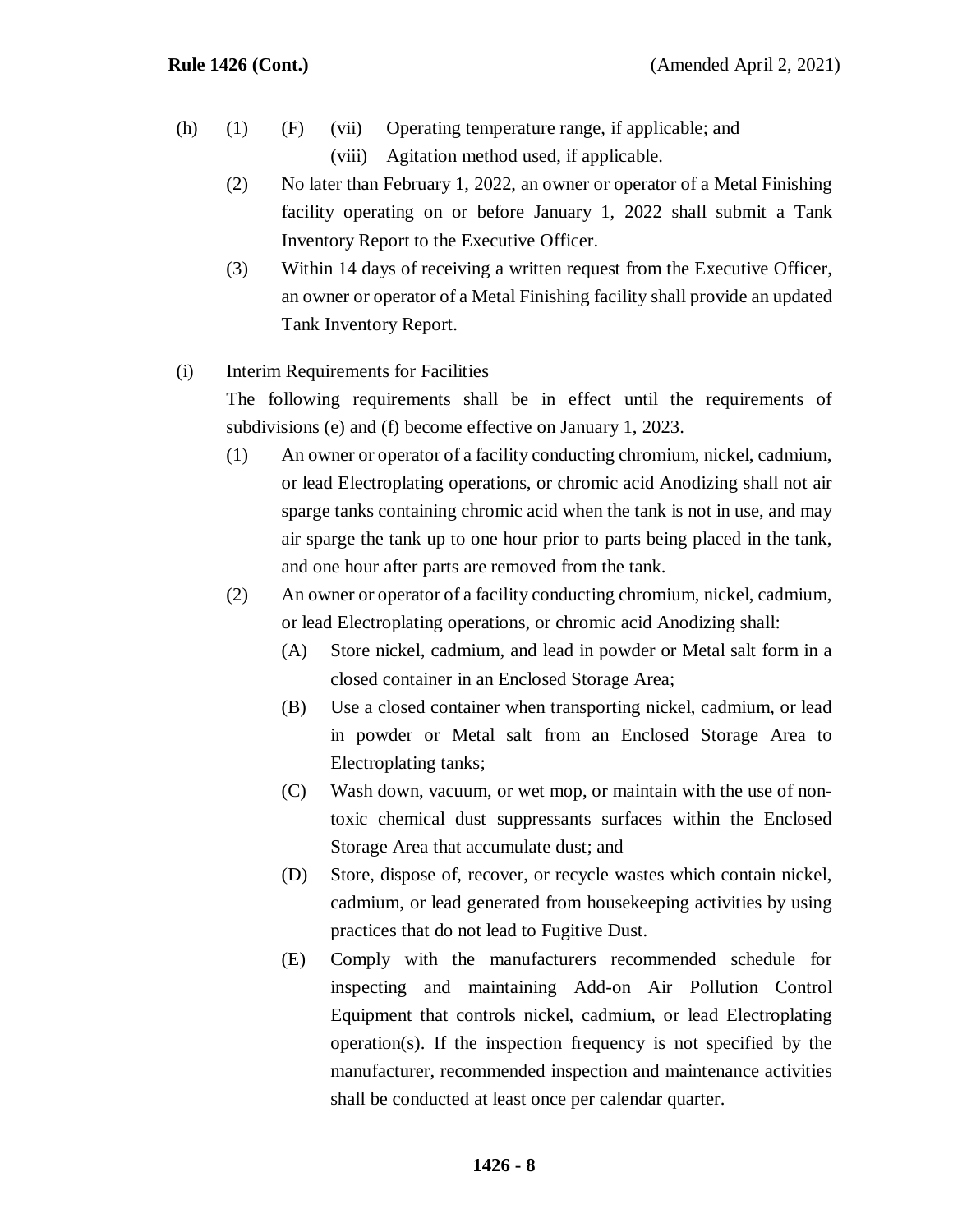- (h) (1) (F) (vii) Operating temperature range, if applicable; and (viii) Agitation method used, if applicable.
	- (2) No later than February 1, 2022, an owner or operator of a Metal Finishing facility operating on or before January 1, 2022 shall submit a Tank Inventory Report to the Executive Officer.
	- (3) Within 14 days of receiving a written request from the Executive Officer, an owner or operator of a Metal Finishing facility shall provide an updated Tank Inventory Report.

## (i) Interim Requirements for Facilities

The following requirements shall be in effect until the requirements of subdivisions (e) and (f) become effective on January 1, 2023.

- (1) An owner or operator of a facility conducting chromium, nickel, cadmium, or lead Electroplating operations, or chromic acid Anodizing shall not air sparge tanks containing chromic acid when the tank is not in use, and may air sparge the tank up to one hour prior to parts being placed in the tank, and one hour after parts are removed from the tank.
- (2) An owner or operator of a facility conducting chromium, nickel, cadmium, or lead Electroplating operations, or chromic acid Anodizing shall:
	- (A) Store nickel, cadmium, and lead in powder or Metal salt form in a closed container in an Enclosed Storage Area;
	- (B) Use a closed container when transporting nickel, cadmium, or lead in powder or Metal salt from an Enclosed Storage Area to Electroplating tanks;
	- (C) Wash down, vacuum, or wet mop, or maintain with the use of nontoxic chemical dust suppressants surfaces within the Enclosed Storage Area that accumulate dust; and
	- (D) Store, dispose of, recover, or recycle wastes which contain nickel, cadmium, or lead generated from housekeeping activities by using practices that do not lead to Fugitive Dust.
	- (E) Comply with the manufacturers recommended schedule for inspecting and maintaining Add-on Air Pollution Control Equipment that controls nickel, cadmium, or lead Electroplating operation(s). If the inspection frequency is not specified by the manufacturer, recommended inspection and maintenance activities shall be conducted at least once per calendar quarter.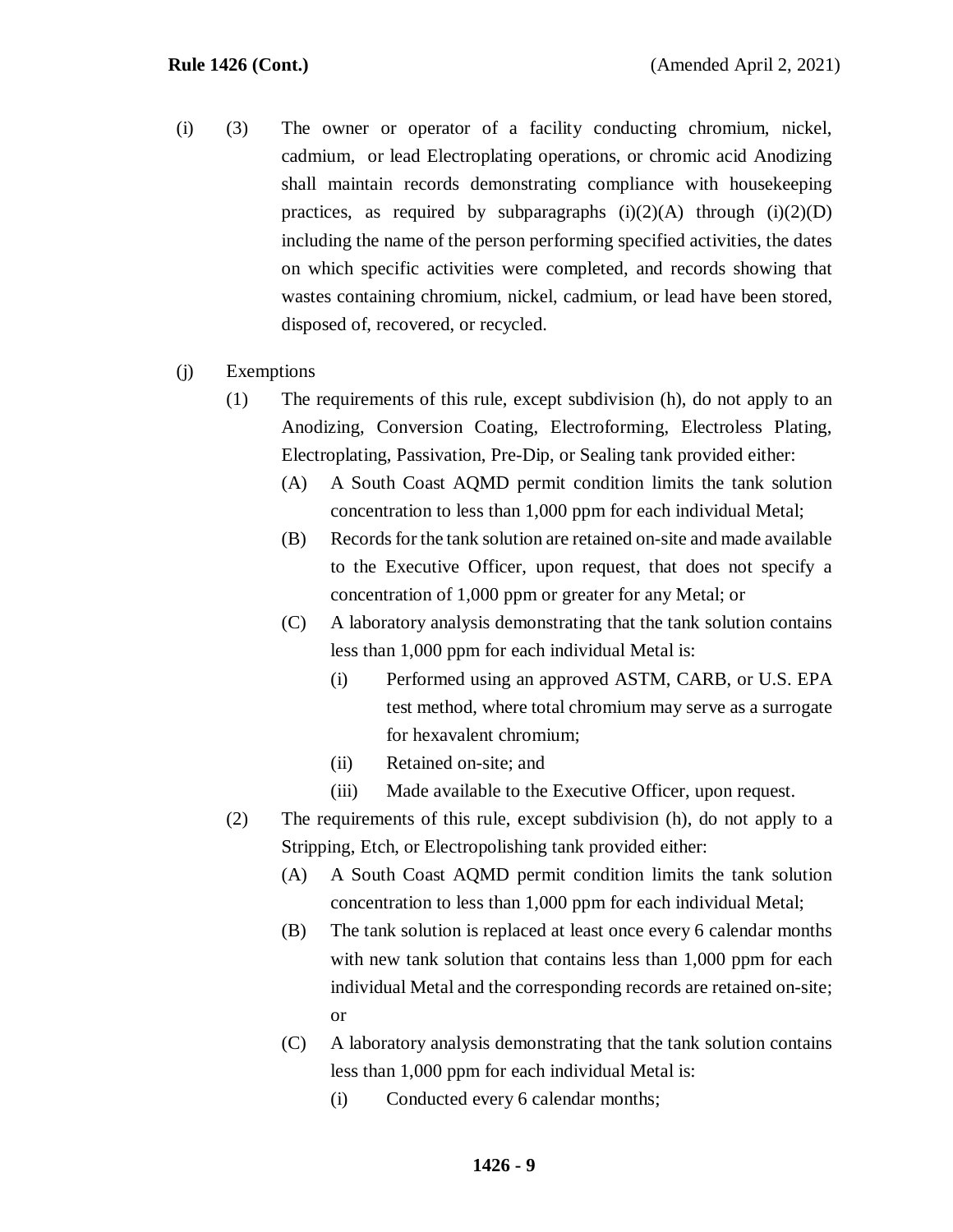- (i) (3) The owner or operator of a facility conducting chromium, nickel, cadmium, or lead Electroplating operations, or chromic acid Anodizing shall maintain records demonstrating compliance with housekeeping practices, as required by subparagraphs  $(i)(2)(A)$  through  $(i)(2)(D)$ including the name of the person performing specified activities, the dates on which specific activities were completed, and records showing that wastes containing chromium, nickel, cadmium, or lead have been stored, disposed of, recovered, or recycled.
- (j) Exemptions
	- (1) The requirements of this rule, except subdivision (h), do not apply to an Anodizing, Conversion Coating, Electroforming, Electroless Plating, Electroplating, Passivation, Pre-Dip, or Sealing tank provided either:
		- (A) A South Coast AQMD permit condition limits the tank solution concentration to less than 1,000 ppm for each individual Metal;
		- (B) Records for the tank solution are retained on-site and made available to the Executive Officer, upon request, that does not specify a concentration of 1,000 ppm or greater for any Metal; or
		- (C) A laboratory analysis demonstrating that the tank solution contains less than 1,000 ppm for each individual Metal is:
			- (i) Performed using an approved ASTM, CARB, or U.S. EPA test method, where total chromium may serve as a surrogate for hexavalent chromium;
			- (ii) Retained on-site; and
			- (iii) Made available to the Executive Officer, upon request.
	- (2) The requirements of this rule, except subdivision (h), do not apply to a Stripping, Etch, or Electropolishing tank provided either:
		- (A) A South Coast AQMD permit condition limits the tank solution concentration to less than 1,000 ppm for each individual Metal;
		- (B) The tank solution is replaced at least once every 6 calendar months with new tank solution that contains less than 1,000 ppm for each individual Metal and the corresponding records are retained on-site; or
		- (C) A laboratory analysis demonstrating that the tank solution contains less than 1,000 ppm for each individual Metal is:
			- (i) Conducted every 6 calendar months;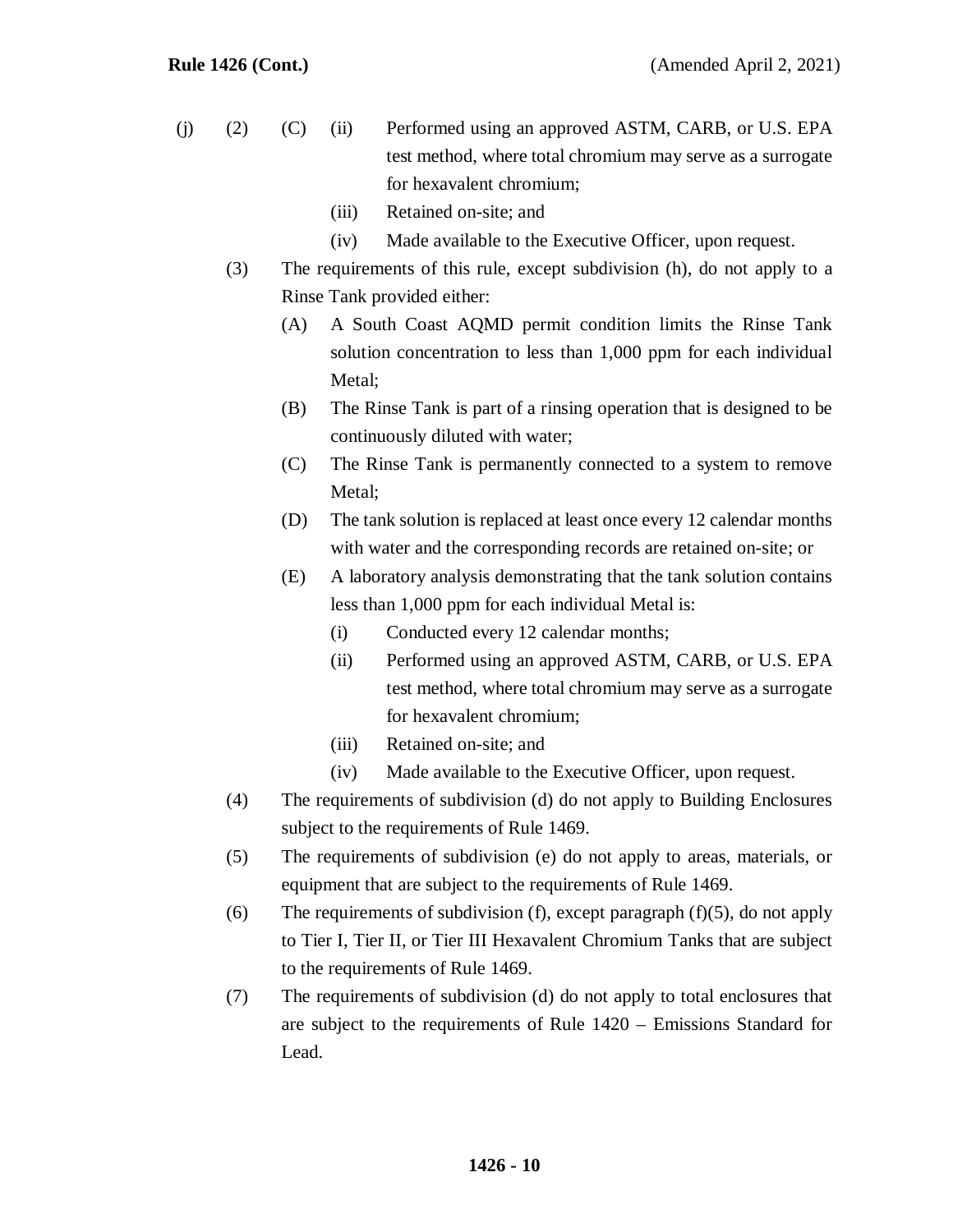- (j) (2) (C) (ii) Performed using an approved ASTM, CARB, or U.S. EPA test method, where total chromium may serve as a surrogate for hexavalent chromium;
	- (iii) Retained on-site; and
	- (iv) Made available to the Executive Officer, upon request.
	- (3) The requirements of this rule, except subdivision (h), do not apply to a Rinse Tank provided either:
		- (A) A South Coast AQMD permit condition limits the Rinse Tank solution concentration to less than 1,000 ppm for each individual Metal;
		- (B) The Rinse Tank is part of a rinsing operation that is designed to be continuously diluted with water;
		- (C) The Rinse Tank is permanently connected to a system to remove Metal:
		- (D) The tank solution is replaced at least once every 12 calendar months with water and the corresponding records are retained on-site; or
		- (E) A laboratory analysis demonstrating that the tank solution contains less than 1,000 ppm for each individual Metal is:
			- (i) Conducted every 12 calendar months;
			- (ii) Performed using an approved ASTM, CARB, or U.S. EPA test method, where total chromium may serve as a surrogate for hexavalent chromium;
			- (iii) Retained on-site; and
			- (iv) Made available to the Executive Officer, upon request.
	- (4) The requirements of subdivision (d) do not apply to Building Enclosures subject to the requirements of Rule 1469.
	- (5) The requirements of subdivision (e) do not apply to areas, materials, or equipment that are subject to the requirements of Rule 1469.
	- (6) The requirements of subdivision (f), except paragraph  $(f)(5)$ , do not apply to Tier I, Tier II, or Tier III Hexavalent Chromium Tanks that are subject to the requirements of Rule 1469.
	- (7) The requirements of subdivision (d) do not apply to total enclosures that are subject to the requirements of Rule 1420 – Emissions Standard for Lead.